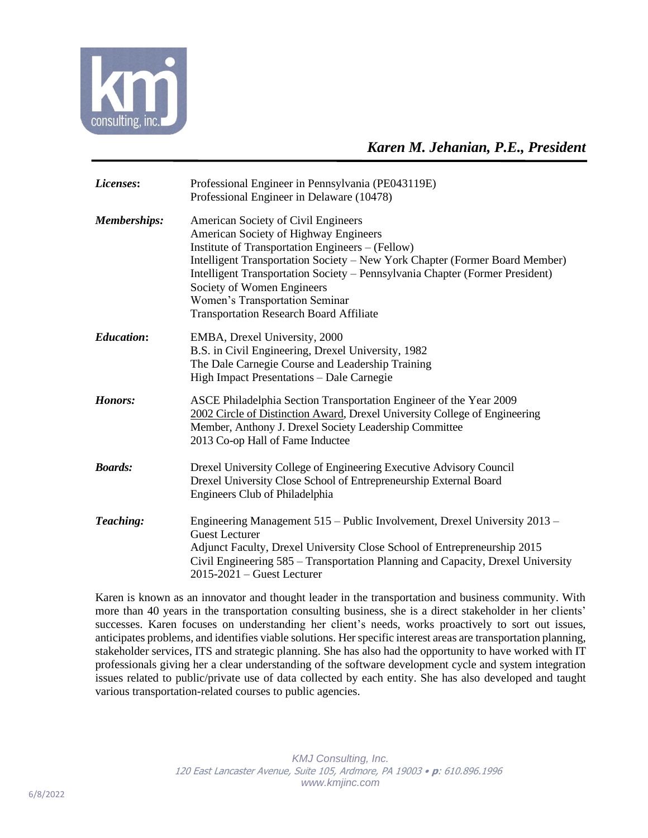

| Licenses:           | Professional Engineer in Pennsylvania (PE043119E)<br>Professional Engineer in Delaware (10478)                                                                                                                                                                                                                                                                                                                    |
|---------------------|-------------------------------------------------------------------------------------------------------------------------------------------------------------------------------------------------------------------------------------------------------------------------------------------------------------------------------------------------------------------------------------------------------------------|
| <b>Memberships:</b> | American Society of Civil Engineers<br>American Society of Highway Engineers<br>Institute of Transportation Engineers – (Fellow)<br>Intelligent Transportation Society - New York Chapter (Former Board Member)<br>Intelligent Transportation Society - Pennsylvania Chapter (Former President)<br>Society of Women Engineers<br>Women's Transportation Seminar<br><b>Transportation Research Board Affiliate</b> |
| <b>Education:</b>   | EMBA, Drexel University, 2000<br>B.S. in Civil Engineering, Drexel University, 1982<br>The Dale Carnegie Course and Leadership Training<br>High Impact Presentations - Dale Carnegie                                                                                                                                                                                                                              |
| Honors:             | ASCE Philadelphia Section Transportation Engineer of the Year 2009<br>2002 Circle of Distinction Award, Drexel University College of Engineering<br>Member, Anthony J. Drexel Society Leadership Committee<br>2013 Co-op Hall of Fame Inductee                                                                                                                                                                    |
| <b>Boards:</b>      | Drexel University College of Engineering Executive Advisory Council<br>Drexel University Close School of Entrepreneurship External Board<br>Engineers Club of Philadelphia                                                                                                                                                                                                                                        |
| Teaching:           | Engineering Management 515 – Public Involvement, Drexel University 2013 –<br><b>Guest Lecturer</b><br>Adjunct Faculty, Drexel University Close School of Entrepreneurship 2015<br>Civil Engineering 585 - Transportation Planning and Capacity, Drexel University<br>$2015 - 2021$ – Guest Lecturer                                                                                                               |

Karen is known as an innovator and thought leader in the transportation and business community. With more than 40 years in the transportation consulting business, she is a direct stakeholder in her clients' successes. Karen focuses on understanding her client's needs, works proactively to sort out issues, anticipates problems, and identifies viable solutions. Her specific interest areas are transportation planning, stakeholder services, ITS and strategic planning. She has also had the opportunity to have worked with IT professionals giving her a clear understanding of the software development cycle and system integration issues related to public/private use of data collected by each entity. She has also developed and taught various transportation-related courses to public agencies.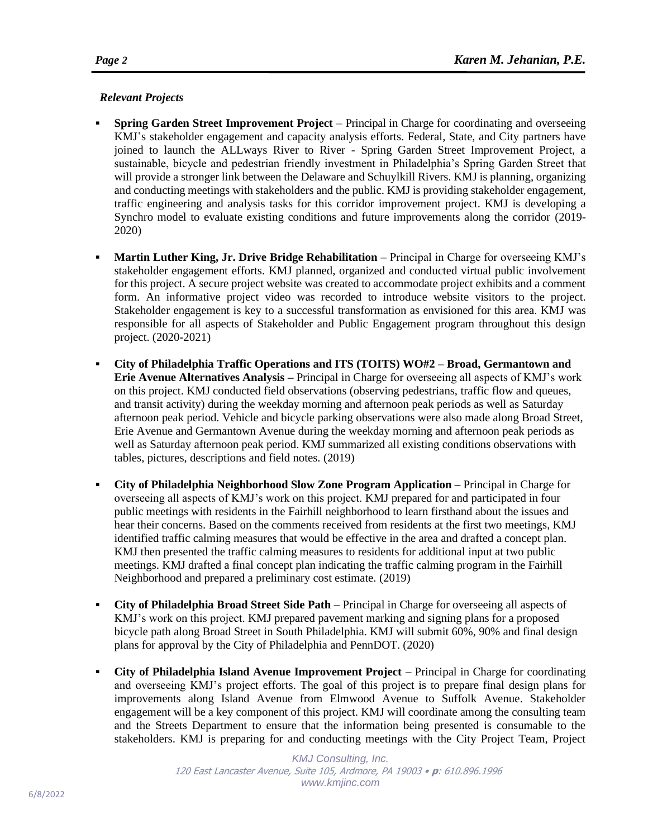## *Relevant Projects*

- **Spring Garden Street Improvement Project** Principal in Charge for coordinating and overseeing KMJ's stakeholder engagement and capacity analysis efforts. Federal, State, and City partners have joined to launch the ALLways River to River - Spring Garden Street Improvement Project, a sustainable, bicycle and pedestrian friendly investment in Philadelphia's Spring Garden Street that will provide a stronger link between the Delaware and Schuylkill Rivers. KMJ is planning, organizing and conducting meetings with stakeholders and the public. KMJ is providing stakeholder engagement, traffic engineering and analysis tasks for this corridor improvement project. KMJ is developing a Synchro model to evaluate existing conditions and future improvements along the corridor (2019- 2020)
- **Martin Luther King, Jr. Drive Bridge Rehabilitation** Principal in Charge for overseeing KMJ's stakeholder engagement efforts. KMJ planned, organized and conducted virtual public involvement for this project. A secure project website was created to accommodate project exhibits and a comment form. An informative project video was recorded to introduce website visitors to the project. Stakeholder engagement is key to a successful transformation as envisioned for this area. KMJ was responsible for all aspects of Stakeholder and Public Engagement program throughout this design project. (2020-2021)
- **City of Philadelphia Traffic Operations and ITS (TOITS) WO#2 – Broad, Germantown and Erie Avenue Alternatives Analysis –** Principal in Charge for overseeing all aspects of KMJ's work on this project. KMJ conducted field observations (observing pedestrians, traffic flow and queues, and transit activity) during the weekday morning and afternoon peak periods as well as Saturday afternoon peak period. Vehicle and bicycle parking observations were also made along Broad Street, Erie Avenue and Germantown Avenue during the weekday morning and afternoon peak periods as well as Saturday afternoon peak period. KMJ summarized all existing conditions observations with tables, pictures, descriptions and field notes. (2019)
- **City of Philadelphia Neighborhood Slow Zone Program Application –** Principal in Charge for overseeing all aspects of KMJ's work on this project. KMJ prepared for and participated in four public meetings with residents in the Fairhill neighborhood to learn firsthand about the issues and hear their concerns. Based on the comments received from residents at the first two meetings, KMJ identified traffic calming measures that would be effective in the area and drafted a concept plan. KMJ then presented the traffic calming measures to residents for additional input at two public meetings. KMJ drafted a final concept plan indicating the traffic calming program in the Fairhill Neighborhood and prepared a preliminary cost estimate. (2019)
- **City of Philadelphia Broad Street Side Path –** Principal in Charge for overseeing all aspects of KMJ's work on this project. KMJ prepared pavement marking and signing plans for a proposed bicycle path along Broad Street in South Philadelphia. KMJ will submit 60%, 90% and final design plans for approval by the City of Philadelphia and PennDOT. (2020)
- **City of Philadelphia Island Avenue Improvement Project –** Principal in Charge for coordinating and overseeing KMJ's project efforts. The goal of this project is to prepare final design plans for improvements along Island Avenue from Elmwood Avenue to Suffolk Avenue. Stakeholder engagement will be a key component of this project. KMJ will coordinate among the consulting team and the Streets Department to ensure that the information being presented is consumable to the stakeholders. KMJ is preparing for and conducting meetings with the City Project Team, Project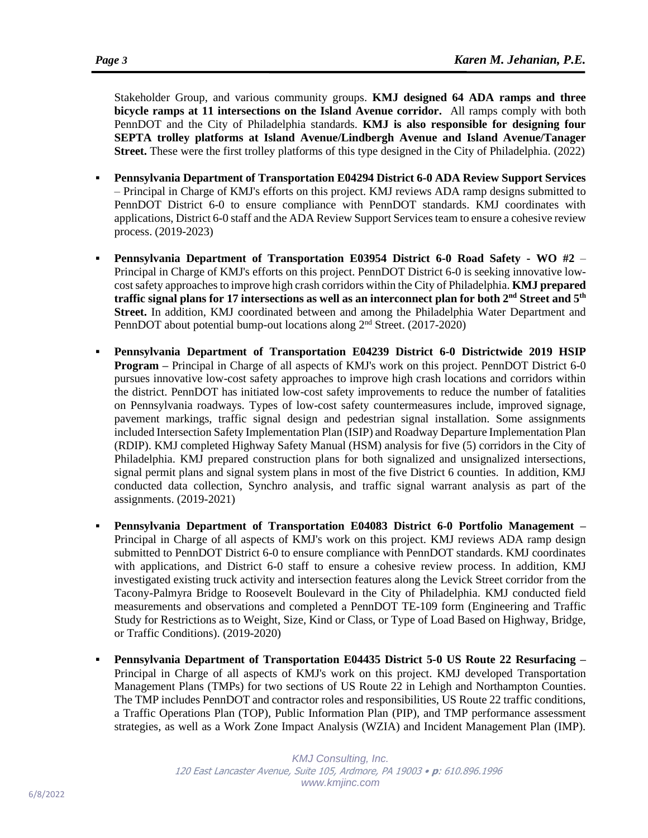Stakeholder Group, and various community groups. **KMJ designed 64 ADA ramps and three bicycle ramps at 11 intersections on the Island Avenue corridor.** All ramps comply with both PennDOT and the City of Philadelphia standards. **KMJ is also responsible for designing four SEPTA trolley platforms at Island Avenue/Lindbergh Avenue and Island Avenue/Tanager Street.** These were the first trolley platforms of this type designed in the City of Philadelphia. (2022)

- **Pennsylvania Department of Transportation E04294 District 6-0 ADA Review Support Services**  – Principal in Charge of KMJ's efforts on this project. KMJ reviews ADA ramp designs submitted to PennDOT District 6-0 to ensure compliance with PennDOT standards. KMJ coordinates with applications, District 6-0 staff and the ADA Review Support Services team to ensure a cohesive review process. (2019-2023)
- **Pennsylvania Department of Transportation E03954 District 6-0 Road Safety - WO #2**  Principal in Charge of KMJ's efforts on this project. PennDOT District 6-0 is seeking innovative lowcost safety approaches to improve high crash corridors within the City of Philadelphia. **KMJ prepared traffic signal plans for 17 intersections as well as an interconnect plan for both 2nd Street and 5th Street.** In addition, KMJ coordinated between and among the Philadelphia Water Department and PennDOT about potential bump-out locations along 2<sup>nd</sup> Street. (2017-2020)
- **Pennsylvania Department of Transportation E04239 District 6-0 Districtwide 2019 HSIP Program –** Principal in Charge of all aspects of KMJ's work on this project. PennDOT District 6-0 pursues innovative low-cost safety approaches to improve high crash locations and corridors within the district. PennDOT has initiated low-cost safety improvements to reduce the number of fatalities on Pennsylvania roadways. Types of low-cost safety countermeasures include, improved signage, pavement markings, traffic signal design and pedestrian signal installation. Some assignments included Intersection Safety Implementation Plan (ISIP) and Roadway Departure Implementation Plan (RDIP). KMJ completed Highway Safety Manual (HSM) analysis for five (5) corridors in the City of Philadelphia. KMJ prepared construction plans for both signalized and unsignalized intersections, signal permit plans and signal system plans in most of the five District 6 counties. In addition, KMJ conducted data collection, Synchro analysis, and traffic signal warrant analysis as part of the assignments. (2019-2021)
- **Pennsylvania Department of Transportation E04083 District 6-0 Portfolio Management –** Principal in Charge of all aspects of KMJ's work on this project. KMJ reviews ADA ramp design submitted to PennDOT District 6-0 to ensure compliance with PennDOT standards. KMJ coordinates with applications, and District 6-0 staff to ensure a cohesive review process. In addition, KMJ investigated existing truck activity and intersection features along the Levick Street corridor from the Tacony-Palmyra Bridge to Roosevelt Boulevard in the City of Philadelphia. KMJ conducted field measurements and observations and completed a PennDOT TE-109 form (Engineering and Traffic Study for Restrictions as to Weight, Size, Kind or Class, or Type of Load Based on Highway, Bridge, or Traffic Conditions). (2019-2020)
- **Pennsylvania Department of Transportation E04435 District 5-0 US Route 22 Resurfacing –** Principal in Charge of all aspects of KMJ's work on this project. KMJ developed Transportation Management Plans (TMPs) for two sections of US Route 22 in Lehigh and Northampton Counties. The TMP includes PennDOT and contractor roles and responsibilities, US Route 22 traffic conditions, a Traffic Operations Plan (TOP), Public Information Plan (PIP), and TMP performance assessment strategies, as well as a Work Zone Impact Analysis (WZIA) and Incident Management Plan (IMP).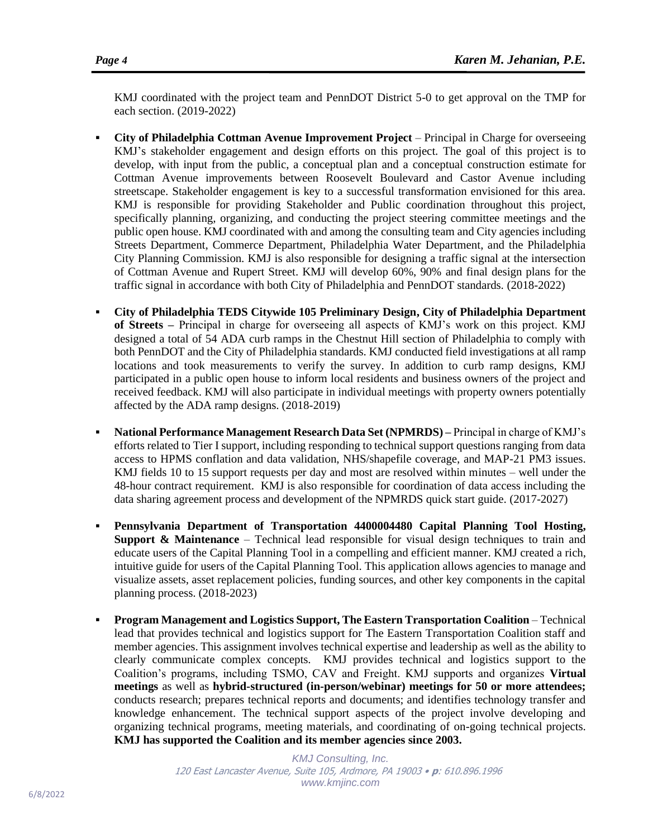KMJ coordinated with the project team and PennDOT District 5-0 to get approval on the TMP for each section. (2019-2022)

- **City of Philadelphia Cottman Avenue Improvement Project** Principal in Charge for overseeing KMJ's stakeholder engagement and design efforts on this project. The goal of this project is to develop, with input from the public, a conceptual plan and a conceptual construction estimate for Cottman Avenue improvements between Roosevelt Boulevard and Castor Avenue including streetscape. Stakeholder engagement is key to a successful transformation envisioned for this area. KMJ is responsible for providing Stakeholder and Public coordination throughout this project, specifically planning, organizing, and conducting the project steering committee meetings and the public open house. KMJ coordinated with and among the consulting team and City agencies including Streets Department, Commerce Department, Philadelphia Water Department, and the Philadelphia City Planning Commission. KMJ is also responsible for designing a traffic signal at the intersection of Cottman Avenue and Rupert Street. KMJ will develop 60%, 90% and final design plans for the traffic signal in accordance with both City of Philadelphia and PennDOT standards. (2018-2022)
- **City of Philadelphia TEDS Citywide 105 Preliminary Design, City of Philadelphia Department of Streets –** Principal in charge for overseeing all aspects of KMJ's work on this project. KMJ designed a total of 54 ADA curb ramps in the Chestnut Hill section of Philadelphia to comply with both PennDOT and the City of Philadelphia standards. KMJ conducted field investigations at all ramp locations and took measurements to verify the survey. In addition to curb ramp designs, KMJ participated in a public open house to inform local residents and business owners of the project and received feedback. KMJ will also participate in individual meetings with property owners potentially affected by the ADA ramp designs. (2018-2019)
- **National Performance Management Research Data Set (NPMRDS) –** Principal in charge of KMJ's efforts related to Tier I support, including responding to technical support questions ranging from data access to HPMS conflation and data validation, NHS/shapefile coverage, and MAP-21 PM3 issues. KMJ fields 10 to 15 support requests per day and most are resolved within minutes – well under the 48-hour contract requirement. KMJ is also responsible for coordination of data access including the data sharing agreement process and development of the NPMRDS quick start guide. (2017-2027)
- **Pennsylvania Department of Transportation 4400004480 Capital Planning Tool Hosting, Support & Maintenance** – Technical lead responsible for visual design techniques to train and educate users of the Capital Planning Tool in a compelling and efficient manner. KMJ created a rich, intuitive guide for users of the Capital Planning Tool. This application allows agencies to manage and visualize assets, asset replacement policies, funding sources, and other key components in the capital planning process. (2018-2023)
- **Program Management and Logistics Support, The Eastern Transportation Coalition**  Technical lead that provides technical and logistics support for The Eastern Transportation Coalition staff and member agencies. This assignment involves technical expertise and leadership as well as the ability to clearly communicate complex concepts. KMJ provides technical and logistics support to the Coalition's programs, including TSMO, CAV and Freight. KMJ supports and organizes **Virtual meetings** as well as **hybrid-structured (in-person/webinar) meetings for 50 or more attendees;** conducts research; prepares technical reports and documents; and identifies technology transfer and knowledge enhancement. The technical support aspects of the project involve developing and organizing technical programs, meeting materials, and coordinating of on-going technical projects. **KMJ has supported the Coalition and its member agencies since 2003.**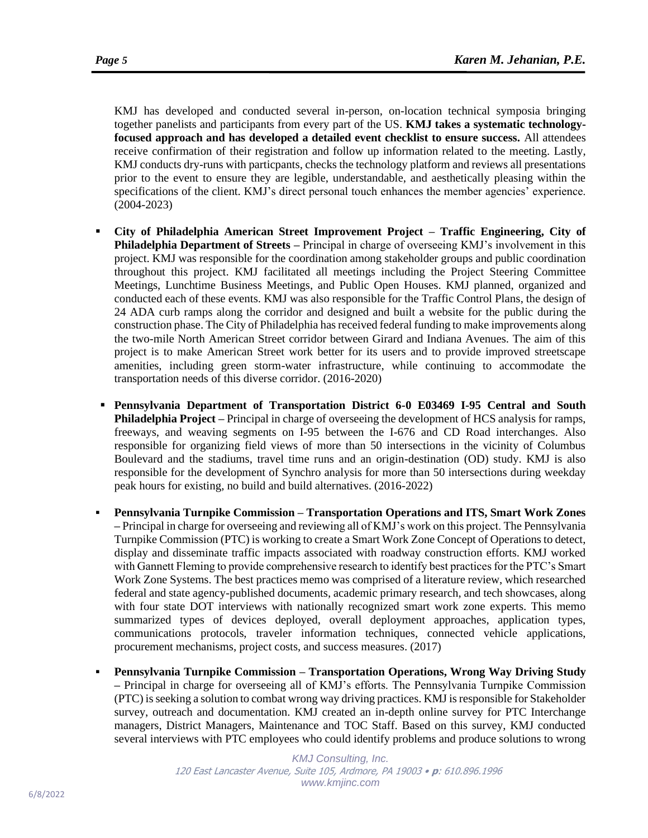KMJ has developed and conducted several in-person, on-location technical symposia bringing together panelists and participants from every part of the US. **KMJ takes a systematic technologyfocused approach and has developed a detailed event checklist to ensure success.** All attendees receive confirmation of their registration and follow up information related to the meeting. Lastly, KMJ conducts dry-runs with particpants, checks the technology platform and reviews all presentations prior to the event to ensure they are legible, understandable, and aesthetically pleasing within the specifications of the client. KMJ's direct personal touch enhances the member agencies' experience. (2004-2023)

- **City of Philadelphia American Street Improvement Project – Traffic Engineering, City of Philadelphia Department of Streets –** Principal in charge of overseeing KMJ's involvement in this project. KMJ was responsible for the coordination among stakeholder groups and public coordination throughout this project. KMJ facilitated all meetings including the Project Steering Committee Meetings, Lunchtime Business Meetings, and Public Open Houses. KMJ planned, organized and conducted each of these events. KMJ was also responsible for the Traffic Control Plans, the design of 24 ADA curb ramps along the corridor and designed and built a website for the public during the construction phase. The City of Philadelphia has received federal funding to make improvements along the two-mile North American Street corridor between Girard and Indiana Avenues. The aim of this project is to make American Street work better for its users and to provide improved streetscape amenities, including green storm-water infrastructure, while continuing to accommodate the transportation needs of this diverse corridor. (2016-2020)
- **Pennsylvania Department of Transportation District 6-0 E03469 I-95 Central and South Philadelphia Project –** Principal in charge of overseeing the development of HCS analysis for ramps, freeways, and weaving segments on I-95 between the I-676 and CD Road interchanges. Also responsible for organizing field views of more than 50 intersections in the vicinity of Columbus Boulevard and the stadiums, travel time runs and an origin-destination (OD) study. KMJ is also responsible for the development of Synchro analysis for more than 50 intersections during weekday peak hours for existing, no build and build alternatives. (2016-2022)
- **Pennsylvania Turnpike Commission – Transportation Operations and ITS, Smart Work Zones –** Principal in charge for overseeing and reviewing all of KMJ's work on this project. The Pennsylvania Turnpike Commission (PTC) is working to create a Smart Work Zone Concept of Operations to detect, display and disseminate traffic impacts associated with roadway construction efforts. KMJ worked with Gannett Fleming to provide comprehensive research to identify best practices for the PTC's Smart Work Zone Systems. The best practices memo was comprised of a literature review, which researched federal and state agency-published documents, academic primary research, and tech showcases, along with four state DOT interviews with nationally recognized smart work zone experts. This memo summarized types of devices deployed, overall deployment approaches, application types, communications protocols, traveler information techniques, connected vehicle applications, procurement mechanisms, project costs, and success measures. (2017)
- **Pennsylvania Turnpike Commission – Transportation Operations, Wrong Way Driving Study –** Principal in charge for overseeing all of KMJ's efforts. The Pennsylvania Turnpike Commission (PTC) is seeking a solution to combat wrong way driving practices. KMJ is responsible for Stakeholder survey, outreach and documentation. KMJ created an in-depth online survey for PTC Interchange managers, District Managers, Maintenance and TOC Staff. Based on this survey, KMJ conducted several interviews with PTC employees who could identify problems and produce solutions to wrong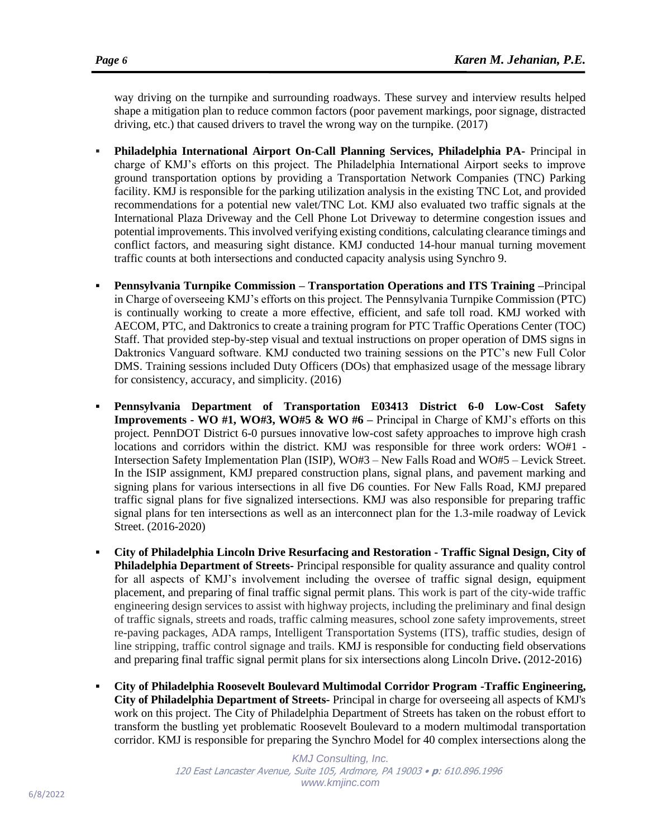way driving on the turnpike and surrounding roadways. These survey and interview results helped shape a mitigation plan to reduce common factors (poor pavement markings, poor signage, distracted driving, etc.) that caused drivers to travel the wrong way on the turnpike. (2017)

- **Philadelphia International Airport On-Call Planning Services, Philadelphia PA-** Principal in charge of KMJ's efforts on this project. The Philadelphia International Airport seeks to improve ground transportation options by providing a Transportation Network Companies (TNC) Parking facility. KMJ is responsible for the parking utilization analysis in the existing TNC Lot, and provided recommendations for a potential new valet/TNC Lot. KMJ also evaluated two traffic signals at the International Plaza Driveway and the Cell Phone Lot Driveway to determine congestion issues and potential improvements. This involved verifying existing conditions, calculating clearance timings and conflict factors, and measuring sight distance. KMJ conducted 14-hour manual turning movement traffic counts at both intersections and conducted capacity analysis using Synchro 9.
- **Pennsylvania Turnpike Commission – Transportation Operations and ITS Training –**Principal in Charge of overseeing KMJ's efforts on this project. The Pennsylvania Turnpike Commission (PTC) is continually working to create a more effective, efficient, and safe toll road. KMJ worked with AECOM, PTC, and Daktronics to create a training program for PTC Traffic Operations Center (TOC) Staff. That provided step-by-step visual and textual instructions on proper operation of DMS signs in Daktronics Vanguard software. KMJ conducted two training sessions on the PTC's new Full Color DMS. Training sessions included Duty Officers (DOs) that emphasized usage of the message library for consistency, accuracy, and simplicity. (2016)
- **Pennsylvania Department of Transportation E03413 District 6-0 Low-Cost Safety Improvements - WO #1, WO#3, WO#5 & WO #6 –** Principal in Charge of KMJ's efforts on this project. PennDOT District 6-0 pursues innovative low-cost safety approaches to improve high crash locations and corridors within the district. KMJ was responsible for three work orders: WO#1 -Intersection Safety Implementation Plan (ISIP), WO#3 – New Falls Road and WO#5 – Levick Street. In the ISIP assignment, KMJ prepared construction plans, signal plans, and pavement marking and signing plans for various intersections in all five D6 counties. For New Falls Road, KMJ prepared traffic signal plans for five signalized intersections. KMJ was also responsible for preparing traffic signal plans for ten intersections as well as an interconnect plan for the 1.3-mile roadway of Levick Street. (2016-2020)
- **City of Philadelphia Lincoln Drive Resurfacing and Restoration - Traffic Signal Design, City of Philadelphia Department of Streets-** Principal responsible for quality assurance and quality control for all aspects of KMJ's involvement including the oversee of traffic signal design, equipment placement, and preparing of final traffic signal permit plans. This work is part of the city-wide traffic engineering design services to assist with highway projects, including the preliminary and final design of traffic signals, streets and roads, traffic calming measures, school zone safety improvements, street re-paving packages, ADA ramps, Intelligent Transportation Systems (ITS), traffic studies, design of line stripping, traffic control signage and trails. KMJ is responsible for conducting field observations and preparing final traffic signal permit plans for six intersections along Lincoln Drive**.** (2012-2016)
- **City of Philadelphia Roosevelt Boulevard Multimodal Corridor Program -Traffic Engineering, City of Philadelphia Department of Streets-** Principal in charge for overseeing all aspects of KMJ's work on this project. The City of Philadelphia Department of Streets has taken on the robust effort to transform the bustling yet problematic Roosevelt Boulevard to a modern multimodal transportation corridor. KMJ is responsible for preparing the Synchro Model for 40 complex intersections along the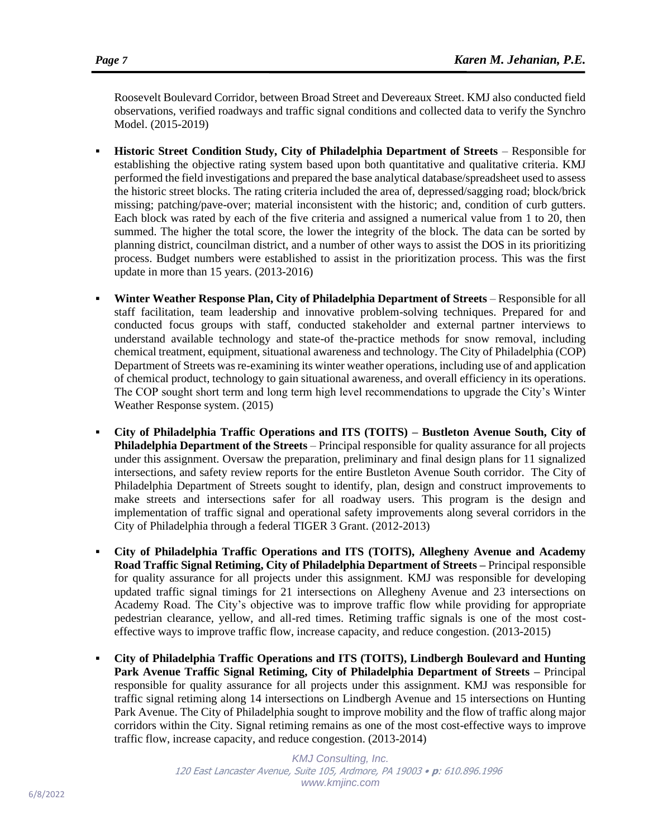Roosevelt Boulevard Corridor, between Broad Street and Devereaux Street. KMJ also conducted field observations, verified roadways and traffic signal conditions and collected data to verify the Synchro Model. (2015-2019)

- **Historic Street Condition Study, City of Philadelphia Department of Streets Responsible for** establishing the objective rating system based upon both quantitative and qualitative criteria. KMJ performed the field investigations and prepared the base analytical database/spreadsheet used to assess the historic street blocks. The rating criteria included the area of, depressed/sagging road; block/brick missing; patching/pave-over; material inconsistent with the historic; and, condition of curb gutters. Each block was rated by each of the five criteria and assigned a numerical value from 1 to 20, then summed. The higher the total score, the lower the integrity of the block. The data can be sorted by planning district, councilman district, and a number of other ways to assist the DOS in its prioritizing process. Budget numbers were established to assist in the prioritization process. This was the first update in more than 15 years. (2013-2016)
- **Winter Weather Response Plan, City of Philadelphia Department of Streets** Responsible for all staff facilitation, team leadership and innovative problem-solving techniques. Prepared for and conducted focus groups with staff, conducted stakeholder and external partner interviews to understand available technology and state-of the-practice methods for snow removal, including chemical treatment, equipment, situational awareness and technology. The City of Philadelphia (COP) Department of Streets was re-examining its winter weather operations, including use of and application of chemical product, technology to gain situational awareness, and overall efficiency in its operations. The COP sought short term and long term high level recommendations to upgrade the City's Winter Weather Response system. (2015)
- **City of Philadelphia Traffic Operations and ITS (TOITS) – Bustleton Avenue South, City of Philadelphia Department of the Streets** – Principal responsible for quality assurance for all projects under this assignment. Oversaw the preparation, preliminary and final design plans for 11 signalized intersections, and safety review reports for the entire Bustleton Avenue South corridor. The City of Philadelphia Department of Streets sought to identify, plan, design and construct improvements to make streets and intersections safer for all roadway users. This program is the design and implementation of traffic signal and operational safety improvements along several corridors in the City of Philadelphia through a federal TIGER 3 Grant. (2012-2013)
- **City of Philadelphia Traffic Operations and ITS (TOITS), Allegheny Avenue and Academy Road Traffic Signal Retiming, City of Philadelphia Department of Streets –** Principal responsible for quality assurance for all projects under this assignment. KMJ was responsible for developing updated traffic signal timings for 21 intersections on Allegheny Avenue and 23 intersections on Academy Road. The City's objective was to improve traffic flow while providing for appropriate pedestrian clearance, yellow, and all-red times. Retiming traffic signals is one of the most costeffective ways to improve traffic flow, increase capacity, and reduce congestion. (2013-2015)
- **City of Philadelphia Traffic Operations and ITS (TOITS), Lindbergh Boulevard and Hunting Park Avenue Traffic Signal Retiming, City of Philadelphia Department of Streets –** Principal responsible for quality assurance for all projects under this assignment. KMJ was responsible for traffic signal retiming along 14 intersections on Lindbergh Avenue and 15 intersections on Hunting Park Avenue. The City of Philadelphia sought to improve mobility and the flow of traffic along major corridors within the City. Signal retiming remains as one of the most cost-effective ways to improve traffic flow, increase capacity, and reduce congestion. (2013-2014)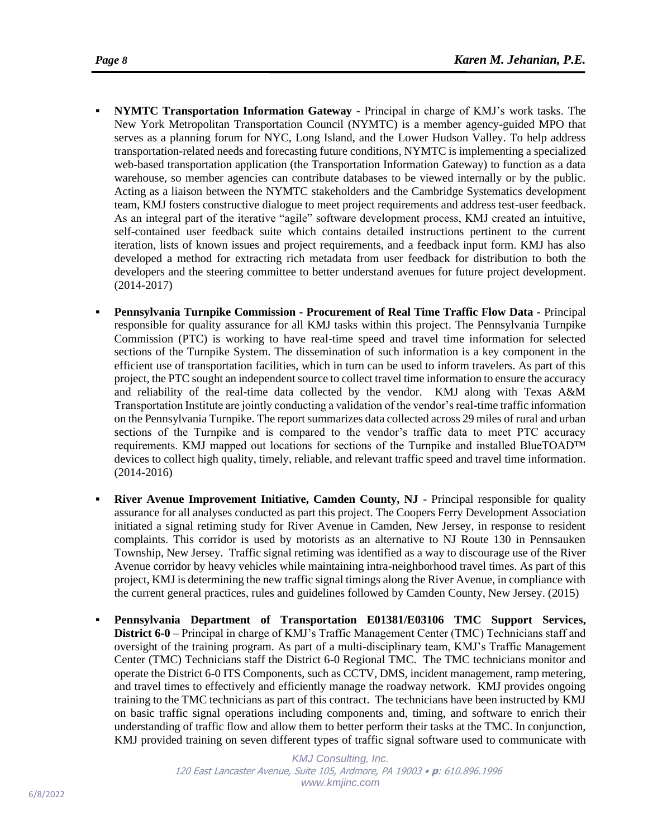- serves as a planning forum for NYC, Long Island, and the Lower Hudson Valley. To help address transportation-related needs and forecasting future conditions, NYMTC is implementing a specialized web-based transportation application (the Transportation Information Gateway) to function as a data warehouse, so member agencies can contribute databases to be viewed internally or by the public. Acting as a liaison between the NYMTC stakeholders and the Cambridge Systematics development team, KMJ fosters constructive dialogue to meet project requirements and address test-user feedback. As an integral part of the iterative "agile" software development process, KMJ created an intuitive, self-contained user feedback suite which contains detailed instructions pertinent to the current iteration, lists of known issues and project requirements, and a feedback input form. KMJ has also developed a method for extracting rich metadata from user feedback for distribution to both the developers and the steering committee to better understand avenues for future project development. (2014-2017)
- **Pennsylvania Turnpike Commission - Procurement of Real Time Traffic Flow Data -** Principal responsible for quality assurance for all KMJ tasks within this project. The Pennsylvania Turnpike Commission (PTC) is working to have real-time speed and travel time information for selected sections of the Turnpike System. The dissemination of such information is a key component in the efficient use of transportation facilities, which in turn can be used to inform travelers. As part of this project, the PTC sought an independent source to collect travel time information to ensure the accuracy and reliability of the real-time data collected by the vendor. KMJ along with Texas A&M Transportation Institute are jointly conducting a validation of the vendor's real-time traffic information on the Pennsylvania Turnpike. The report summarizes data collected across 29 miles of rural and urban sections of the Turnpike and is compared to the vendor's traffic data to meet PTC accuracy requirements. KMJ mapped out locations for sections of the Turnpike and installed BlueTOAD™ devices to collect high quality, timely, reliable, and relevant traffic speed and travel time information. (2014-2016)
- **Example 1 River Avenue Improvement Initiative, Camden County, NJ** Principal responsible for quality assurance for all analyses conducted as part this project. The Coopers Ferry Development Association initiated a signal retiming study for River Avenue in Camden, New Jersey, in response to resident complaints. This corridor is used by motorists as an alternative to NJ Route 130 in Pennsauken Township, New Jersey. Traffic signal retiming was identified as a way to discourage use of the River Avenue corridor by heavy vehicles while maintaining intra-neighborhood travel times. As part of this project, KMJ is determining the new traffic signal timings along the River Avenue, in compliance with the current general practices, rules and guidelines followed by Camden County, New Jersey. (2015)
- **Pennsylvania Department of Transportation E01381/E03106 TMC Support Services, District 6-0** – Principal in charge of KMJ's Traffic Management Center (TMC) Technicians staff and oversight of the training program. As part of a multi-disciplinary team, KMJ's Traffic Management Center (TMC) Technicians staff the District 6-0 Regional TMC. The TMC technicians monitor and operate the District 6-0 ITS Components, such as CCTV, DMS, incident management, ramp metering, and travel times to effectively and efficiently manage the roadway network. KMJ provides ongoing training to the TMC technicians as part of this contract. The technicians have been instructed by KMJ on basic traffic signal operations including components and, timing, and software to enrich their understanding of traffic flow and allow them to better perform their tasks at the TMC. In conjunction, KMJ provided training on seven different types of traffic signal software used to communicate with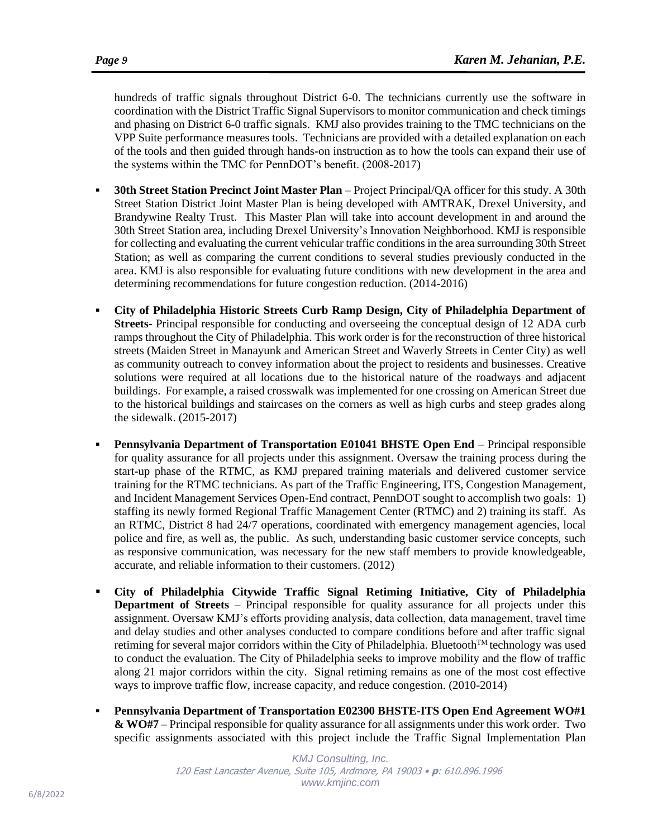hundreds of traffic signals throughout District 6-0. The technicians currently use the software in coordination with the District Traffic Signal Supervisors to monitor communication and check timings and phasing on District 6-0 traffic signals. KMJ also provides training to the TMC technicians on the VPP Suite performance measures tools. Technicians are provided with a detailed explanation on each of the tools and then guided through hands-on instruction as to how the tools can expand their use of the systems within the TMC for PennDOT's benefit. (2008-2017)

- **30th Street Station Precinct Joint Master Plan** Project Principal/QA officer for this study. A 30th Street Station District Joint Master Plan is being developed with AMTRAK, Drexel University, and Brandywine Realty Trust. This Master Plan will take into account development in and around the 30th Street Station area, including Drexel University's Innovation Neighborhood. KMJ is responsible for collecting and evaluating the current vehicular traffic conditions in the area surrounding 30th Street Station; as well as comparing the current conditions to several studies previously conducted in the area. KMJ is also responsible for evaluating future conditions with new development in the area and determining recommendations for future congestion reduction. (2014-2016)
- **City of Philadelphia Historic Streets Curb Ramp Design, City of Philadelphia Department of Streets-** Principal responsible for conducting and overseeing the conceptual design of 12 ADA curb ramps throughout the City of Philadelphia. This work order is for the reconstruction of three historical streets (Maiden Street in Manayunk and American Street and Waverly Streets in Center City) as well as community outreach to convey information about the project to residents and businesses. Creative solutions were required at all locations due to the historical nature of the roadways and adjacent buildings. For example, a raised crosswalk was implemented for one crossing on American Street due to the historical buildings and staircases on the corners as well as high curbs and steep grades along the sidewalk. (2015-2017)
- **Pennsylvania Department of Transportation E01041 BHSTE Open End** Principal responsible for quality assurance for all projects under this assignment. Oversaw the training process during the start-up phase of the RTMC, as KMJ prepared training materials and delivered customer service training for the RTMC technicians. As part of the Traffic Engineering, ITS, Congestion Management, and Incident Management Services Open-End contract, PennDOT sought to accomplish two goals: 1) staffing its newly formed Regional Traffic Management Center (RTMC) and 2) training its staff. As an RTMC, District 8 had 24/7 operations, coordinated with emergency management agencies, local police and fire, as well as, the public. As such, understanding basic customer service concepts, such as responsive communication, was necessary for the new staff members to provide knowledgeable, accurate, and reliable information to their customers. (2012)
- **City of Philadelphia Citywide Traffic Signal Retiming Initiative, City of Philadelphia Department of Streets** – Principal responsible for quality assurance for all projects under this assignment. Oversaw KMJ's efforts providing analysis, data collection, data management, travel time and delay studies and other analyses conducted to compare conditions before and after traffic signal retiming for several major corridors within the City of Philadelphia. Bluetooth™ technology was used to conduct the evaluation. The City of Philadelphia seeks to improve mobility and the flow of traffic along 21 major corridors within the city. Signal retiming remains as one of the most cost effective ways to improve traffic flow, increase capacity, and reduce congestion. (2010-2014)
- **Pennsylvania Department of Transportation E02300 BHSTE-ITS Open End Agreement WO#1 & WO#7** – Principal responsible for quality assurance for all assignments under this work order. Two specific assignments associated with this project include the Traffic Signal Implementation Plan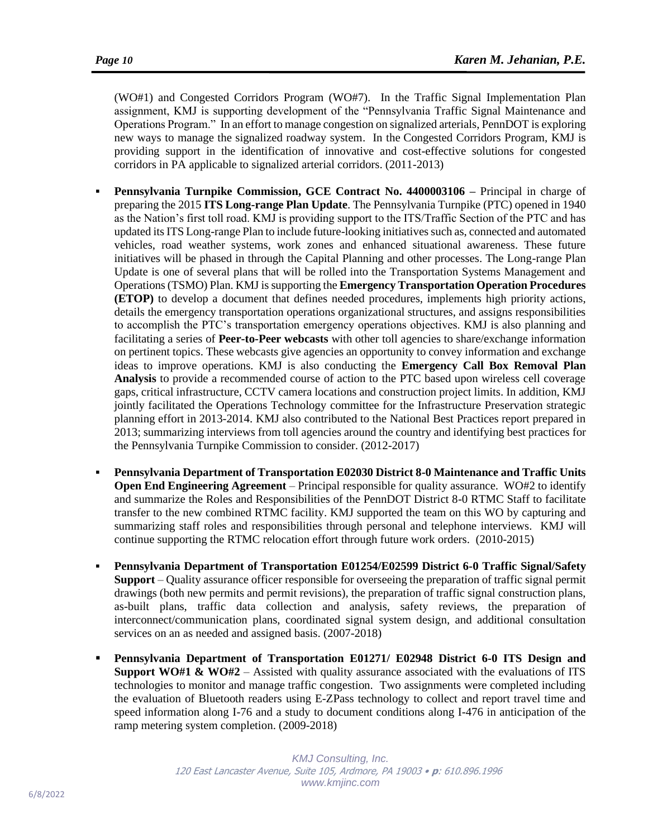(WO#1) and Congested Corridors Program (WO#7). In the Traffic Signal Implementation Plan assignment, KMJ is supporting development of the "Pennsylvania Traffic Signal Maintenance and Operations Program." In an effort to manage congestion on signalized arterials, PennDOT is exploring new ways to manage the signalized roadway system. In the Congested Corridors Program, KMJ is providing support in the identification of innovative and cost-effective solutions for congested corridors in PA applicable to signalized arterial corridors. (2011-2013)

- **Pennsylvania Turnpike Commission, GCE Contract No. 4400003106 –** Principal in charge of preparing the 2015 **ITS Long-range Plan Update**. The Pennsylvania Turnpike (PTC) opened in 1940 as the Nation's first toll road. KMJ is providing support to the ITS/Traffic Section of the PTC and has updated its ITS Long-range Plan to include future-looking initiatives such as, connected and automated vehicles, road weather systems, work zones and enhanced situational awareness. These future initiatives will be phased in through the Capital Planning and other processes. The Long-range Plan Update is one of several plans that will be rolled into the Transportation Systems Management and Operations (TSMO) Plan. KMJis supporting the **Emergency Transportation Operation Procedures (ETOP)** to develop a document that defines needed procedures, implements high priority actions, details the emergency transportation operations organizational structures, and assigns responsibilities to accomplish the PTC's transportation emergency operations objectives. KMJ is also planning and facilitating a series of **Peer-to-Peer webcasts** with other toll agencies to share/exchange information on pertinent topics. These webcasts give agencies an opportunity to convey information and exchange ideas to improve operations. KMJ is also conducting the **Emergency Call Box Removal Plan Analysis** to provide a recommended course of action to the PTC based upon wireless cell coverage gaps, critical infrastructure, CCTV camera locations and construction project limits. In addition, KMJ jointly facilitated the Operations Technology committee for the Infrastructure Preservation strategic planning effort in 2013-2014. KMJ also contributed to the National Best Practices report prepared in 2013; summarizing interviews from toll agencies around the country and identifying best practices for the Pennsylvania Turnpike Commission to consider. (2012-2017)
- **Pennsylvania Department of Transportation E02030 District 8-0 Maintenance and Traffic Units Open End Engineering Agreement** – Principal responsible for quality assurance. WO#2 to identify and summarize the Roles and Responsibilities of the PennDOT District 8-0 RTMC Staff to facilitate transfer to the new combined RTMC facility. KMJ supported the team on this WO by capturing and summarizing staff roles and responsibilities through personal and telephone interviews. KMJ will continue supporting the RTMC relocation effort through future work orders. (2010-2015)
- **Pennsylvania Department of Transportation E01254/E02599 District 6-0 Traffic Signal/Safety Support** – Quality assurance officer responsible for overseeing the preparation of traffic signal permit drawings (both new permits and permit revisions), the preparation of traffic signal construction plans, as-built plans, traffic data collection and analysis, safety reviews, the preparation of interconnect/communication plans, coordinated signal system design, and additional consultation services on an as needed and assigned basis. (2007-2018)
- **Pennsylvania Department of Transportation E01271/ E02948 District 6-0 ITS Design and Support WO#1 & WO#2** – Assisted with quality assurance associated with the evaluations of ITS technologies to monitor and manage traffic congestion. Two assignments were completed including the evaluation of Bluetooth readers using E-ZPass technology to collect and report travel time and speed information along I-76 and a study to document conditions along I-476 in anticipation of the ramp metering system completion. (2009-2018)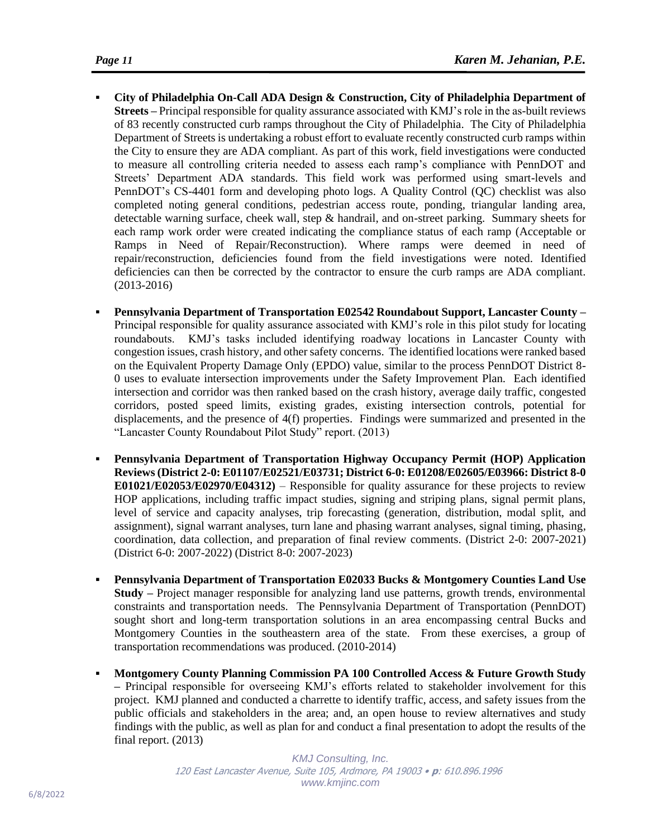- **City of Philadelphia On-Call ADA Design & Construction, City of Philadelphia Department of Streets –** Principal responsible for quality assurance associated with KMJ's role in the as-built reviews of 83 recently constructed curb ramps throughout the City of Philadelphia. The City of Philadelphia Department of Streets is undertaking a robust effort to evaluate recently constructed curb ramps within the City to ensure they are ADA compliant. As part of this work, field investigations were conducted to measure all controlling criteria needed to assess each ramp's compliance with PennDOT and Streets' Department ADA standards. This field work was performed using smart-levels and PennDOT's CS-4401 form and developing photo logs. A Quality Control (QC) checklist was also completed noting general conditions, pedestrian access route, ponding, triangular landing area, detectable warning surface, cheek wall, step & handrail, and on-street parking. Summary sheets for each ramp work order were created indicating the compliance status of each ramp (Acceptable or Ramps in Need of Repair/Reconstruction). Where ramps were deemed in need of repair/reconstruction, deficiencies found from the field investigations were noted. Identified deficiencies can then be corrected by the contractor to ensure the curb ramps are ADA compliant. (2013-2016)
- **Pennsylvania Department of Transportation E02542 Roundabout Support, Lancaster County –** Principal responsible for quality assurance associated with KMJ's role in this pilot study for locating roundabouts. KMJ's tasks included identifying roadway locations in Lancaster County with congestion issues, crash history, and other safety concerns. The identified locations were ranked based on the Equivalent Property Damage Only (EPDO) value, similar to the process PennDOT District 8- 0 uses to evaluate intersection improvements under the Safety Improvement Plan. Each identified intersection and corridor was then ranked based on the crash history, average daily traffic, congested corridors, posted speed limits, existing grades, existing intersection controls, potential for displacements, and the presence of 4(f) properties. Findings were summarized and presented in the "Lancaster County Roundabout Pilot Study" report. (2013)
- **Pennsylvania Department of Transportation Highway Occupancy Permit (HOP) Application Reviews (District 2-0: E01107/E02521/E03731; District 6-0: E01208/E02605/E03966: District 8-0 E01021/E02053/E02970/E04312)** – Responsible for quality assurance for these projects to review HOP applications, including traffic impact studies, signing and striping plans, signal permit plans, level of service and capacity analyses, trip forecasting (generation, distribution, modal split, and assignment), signal warrant analyses, turn lane and phasing warrant analyses, signal timing, phasing, coordination, data collection, and preparation of final review comments. (District 2-0: 2007-2021) (District 6-0: 2007-2022) (District 8-0: 2007-2023)
- **Pennsylvania Department of Transportation E02033 Bucks & Montgomery Counties Land Use Study –** Project manager responsible for analyzing land use patterns, growth trends, environmental constraints and transportation needs. The Pennsylvania Department of Transportation (PennDOT) sought short and long-term transportation solutions in an area encompassing central Bucks and Montgomery Counties in the southeastern area of the state. From these exercises, a group of transportation recommendations was produced. (2010-2014)
- **Montgomery County Planning Commission PA 100 Controlled Access & Future Growth Study –** Principal responsible for overseeing KMJ's efforts related to stakeholder involvement for this project. KMJ planned and conducted a charrette to identify traffic, access, and safety issues from the public officials and stakeholders in the area; and, an open house to review alternatives and study findings with the public, as well as plan for and conduct a final presentation to adopt the results of the final report. (2013)

*KMJ Consulting, Inc.* 120 East Lancaster Avenue, Suite 105, Ardmore, PA 19003 • **p**: 610.896.1996 *www.kmjinc.com*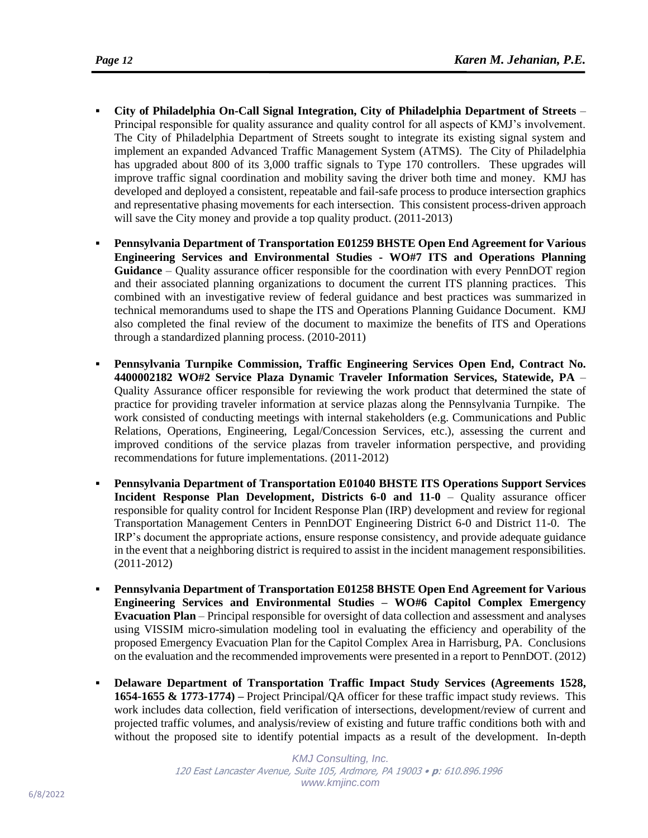- **City of Philadelphia On-Call Signal Integration, City of Philadelphia Department of Streets** Principal responsible for quality assurance and quality control for all aspects of KMJ's involvement. The City of Philadelphia Department of Streets sought to integrate its existing signal system and implement an expanded Advanced Traffic Management System (ATMS). The City of Philadelphia has upgraded about 800 of its 3,000 traffic signals to Type 170 controllers. These upgrades will improve traffic signal coordination and mobility saving the driver both time and money. KMJ has developed and deployed a consistent, repeatable and fail-safe process to produce intersection graphics and representative phasing movements for each intersection. This consistent process-driven approach will save the City money and provide a top quality product. (2011-2013)
- **Pennsylvania Department of Transportation E01259 BHSTE Open End Agreement for Various Engineering Services and Environmental Studies - WO#7 ITS and Operations Planning Guidance** – Quality assurance officer responsible for the coordination with every PennDOT region and their associated planning organizations to document the current ITS planning practices. This combined with an investigative review of federal guidance and best practices was summarized in technical memorandums used to shape the ITS and Operations Planning Guidance Document. KMJ also completed the final review of the document to maximize the benefits of ITS and Operations through a standardized planning process. (2010-2011)
- **Pennsylvania Turnpike Commission, Traffic Engineering Services Open End, Contract No. 4400002182 WO#2 Service Plaza Dynamic Traveler Information Services, Statewide, PA** – Quality Assurance officer responsible for reviewing the work product that determined the state of practice for providing traveler information at service plazas along the Pennsylvania Turnpike. The work consisted of conducting meetings with internal stakeholders (e.g. Communications and Public Relations, Operations, Engineering, Legal/Concession Services, etc.), assessing the current and improved conditions of the service plazas from traveler information perspective, and providing recommendations for future implementations. (2011-2012)
- **Pennsylvania Department of Transportation E01040 BHSTE ITS Operations Support Services Incident Response Plan Development, Districts 6-0 and 11-0** – Quality assurance officer responsible for quality control for Incident Response Plan (IRP) development and review for regional Transportation Management Centers in PennDOT Engineering District 6-0 and District 11-0. The IRP's document the appropriate actions, ensure response consistency, and provide adequate guidance in the event that a neighboring district is required to assist in the incident management responsibilities. (2011-2012)
- **Pennsylvania Department of Transportation E01258 BHSTE Open End Agreement for Various Engineering Services and Environmental Studies – WO#6 Capitol Complex Emergency Evacuation Plan** – Principal responsible for oversight of data collection and assessment and analyses using VISSIM micro-simulation modeling tool in evaluating the efficiency and operability of the proposed Emergency Evacuation Plan for the Capitol Complex Area in Harrisburg, PA. Conclusions on the evaluation and the recommended improvements were presented in a report to PennDOT. (2012)
- **Delaware Department of Transportation Traffic Impact Study Services (Agreements 1528, 1654-1655 & 1773-1774) –** Project Principal/QA officer for these traffic impact study reviews. This work includes data collection, field verification of intersections, development/review of current and projected traffic volumes, and analysis/review of existing and future traffic conditions both with and without the proposed site to identify potential impacts as a result of the development. In-depth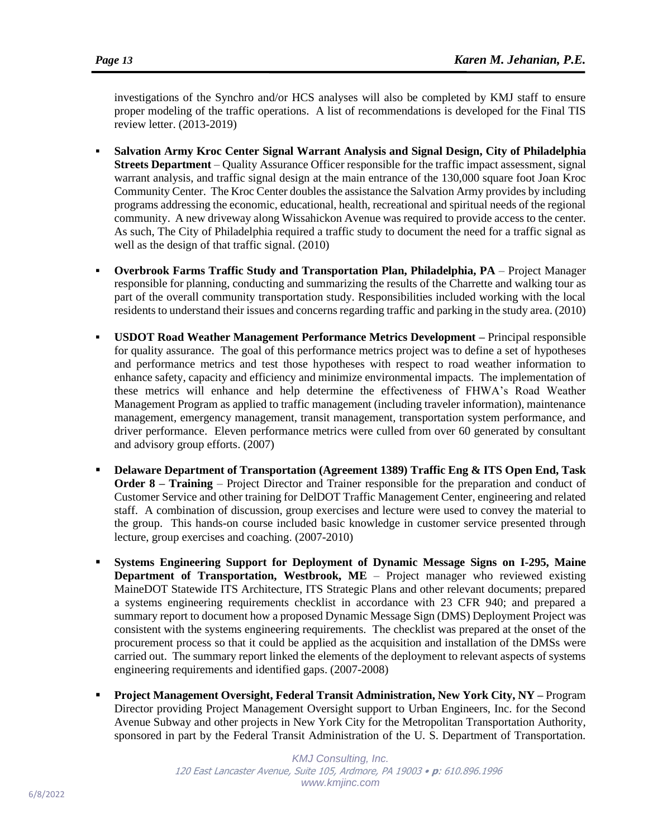investigations of the Synchro and/or HCS analyses will also be completed by KMJ staff to ensure proper modeling of the traffic operations. A list of recommendations is developed for the Final TIS review letter. (2013-2019)

- **Salvation Army Kroc Center Signal Warrant Analysis and Signal Design, City of Philadelphia Streets Department** – Quality Assurance Officer responsible for the traffic impact assessment, signal warrant analysis, and traffic signal design at the main entrance of the 130,000 square foot Joan Kroc Community Center. The Kroc Center doubles the assistance the Salvation Army provides by including programs addressing the economic, educational, health, recreational and spiritual needs of the regional community. A new driveway along Wissahickon Avenue was required to provide access to the center. As such, The City of Philadelphia required a traffic study to document the need for a traffic signal as well as the design of that traffic signal. (2010)
- **Overbrook Farms Traffic Study and Transportation Plan, Philadelphia, PA** Project Manager responsible for planning, conducting and summarizing the results of the Charrette and walking tour as part of the overall community transportation study. Responsibilities included working with the local residents to understand their issues and concerns regarding traffic and parking in the study area. (2010)
- **USDOT Road Weather Management Performance Metrics Development –** Principal responsible for quality assurance. The goal of this performance metrics project was to define a set of hypotheses and performance metrics and test those hypotheses with respect to road weather information to enhance safety, capacity and efficiency and minimize environmental impacts. The implementation of these metrics will enhance and help determine the effectiveness of FHWA's Road Weather Management Program as applied to traffic management (including traveler information), maintenance management, emergency management, transit management, transportation system performance, and driver performance. Eleven performance metrics were culled from over 60 generated by consultant and advisory group efforts. (2007)
- **Delaware Department of Transportation (Agreement 1389) Traffic Eng & ITS Open End, Task Order 8 – Training** – Project Director and Trainer responsible for the preparation and conduct of Customer Service and other training for DelDOT Traffic Management Center, engineering and related staff. A combination of discussion, group exercises and lecture were used to convey the material to the group. This hands-on course included basic knowledge in customer service presented through lecture, group exercises and coaching. (2007-2010)
- **Systems Engineering Support for Deployment of Dynamic Message Signs on I-295, Maine Department of Transportation, Westbrook, ME** – Project manager who reviewed existing MaineDOT Statewide ITS Architecture, ITS Strategic Plans and other relevant documents; prepared a systems engineering requirements checklist in accordance with 23 CFR 940; and prepared a summary report to document how a proposed Dynamic Message Sign (DMS) Deployment Project was consistent with the systems engineering requirements. The checklist was prepared at the onset of the procurement process so that it could be applied as the acquisition and installation of the DMSs were carried out. The summary report linked the elements of the deployment to relevant aspects of systems engineering requirements and identified gaps. (2007-2008)
- **Project Management Oversight, Federal Transit Administration, New York City, NY –** Program Director providing Project Management Oversight support to Urban Engineers, Inc. for the Second Avenue Subway and other projects in New York City for the Metropolitan Transportation Authority, sponsored in part by the Federal Transit Administration of the U. S. Department of Transportation.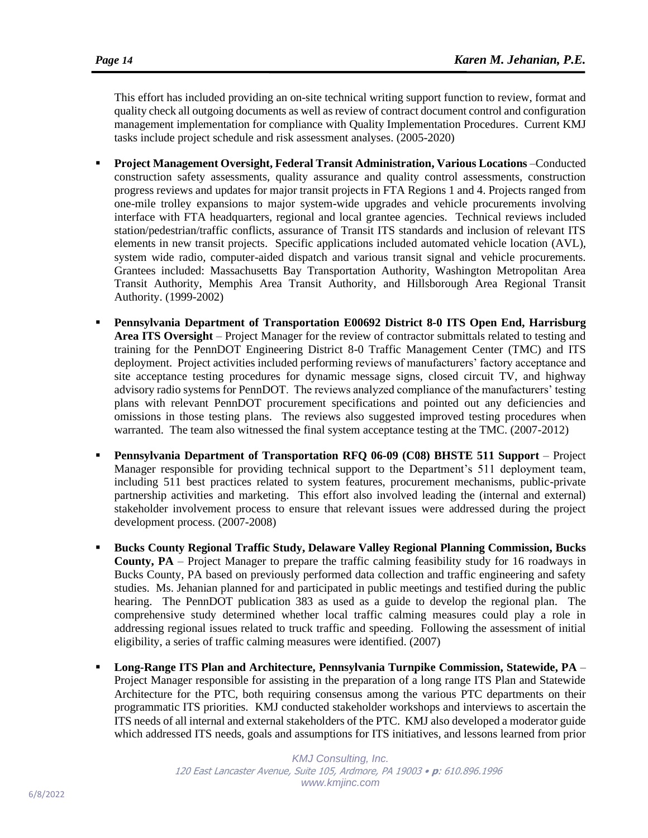This effort has included providing an on-site technical writing support function to review, format and quality check all outgoing documents as well as review of contract document control and configuration management implementation for compliance with Quality Implementation Procedures. Current KMJ tasks include project schedule and risk assessment analyses. (2005-2020)

- **Project Management Oversight, Federal Transit Administration, Various Locations** –Conducted construction safety assessments, quality assurance and quality control assessments, construction progress reviews and updates for major transit projects in FTA Regions 1 and 4. Projects ranged from one-mile trolley expansions to major system-wide upgrades and vehicle procurements involving interface with FTA headquarters, regional and local grantee agencies. Technical reviews included station/pedestrian/traffic conflicts, assurance of Transit ITS standards and inclusion of relevant ITS elements in new transit projects. Specific applications included automated vehicle location (AVL), system wide radio, computer-aided dispatch and various transit signal and vehicle procurements. Grantees included: Massachusetts Bay Transportation Authority, Washington Metropolitan Area Transit Authority, Memphis Area Transit Authority, and Hillsborough Area Regional Transit Authority. (1999-2002)
- **Pennsylvania Department of Transportation E00692 District 8-0 ITS Open End, Harrisburg Area ITS Oversight** – Project Manager for the review of contractor submittals related to testing and training for the PennDOT Engineering District 8-0 Traffic Management Center (TMC) and ITS deployment. Project activities included performing reviews of manufacturers' factory acceptance and site acceptance testing procedures for dynamic message signs, closed circuit TV, and highway advisory radio systems for PennDOT. The reviews analyzed compliance of the manufacturers' testing plans with relevant PennDOT procurement specifications and pointed out any deficiencies and omissions in those testing plans. The reviews also suggested improved testing procedures when warranted. The team also witnessed the final system acceptance testing at the TMC. (2007-2012)
- **Pennsylvania Department of Transportation RFQ 06-09 (C08) BHSTE 511 Support** Project Manager responsible for providing technical support to the Department's 511 deployment team, including 511 best practices related to system features, procurement mechanisms, public-private partnership activities and marketing. This effort also involved leading the (internal and external) stakeholder involvement process to ensure that relevant issues were addressed during the project development process. (2007-2008)
- **Bucks County Regional Traffic Study, Delaware Valley Regional Planning Commission, Bucks County, PA** – Project Manager to prepare the traffic calming feasibility study for 16 roadways in Bucks County, PA based on previously performed data collection and traffic engineering and safety studies. Ms. Jehanian planned for and participated in public meetings and testified during the public hearing. The PennDOT publication 383 as used as a guide to develop the regional plan. The comprehensive study determined whether local traffic calming measures could play a role in addressing regional issues related to truck traffic and speeding. Following the assessment of initial eligibility, a series of traffic calming measures were identified. (2007)
- **Long-Range ITS Plan and Architecture, Pennsylvania Turnpike Commission, Statewide, PA** Project Manager responsible for assisting in the preparation of a long range ITS Plan and Statewide Architecture for the PTC, both requiring consensus among the various PTC departments on their programmatic ITS priorities. KMJ conducted stakeholder workshops and interviews to ascertain the ITS needs of all internal and external stakeholders of the PTC. KMJ also developed a moderator guide which addressed ITS needs, goals and assumptions for ITS initiatives, and lessons learned from prior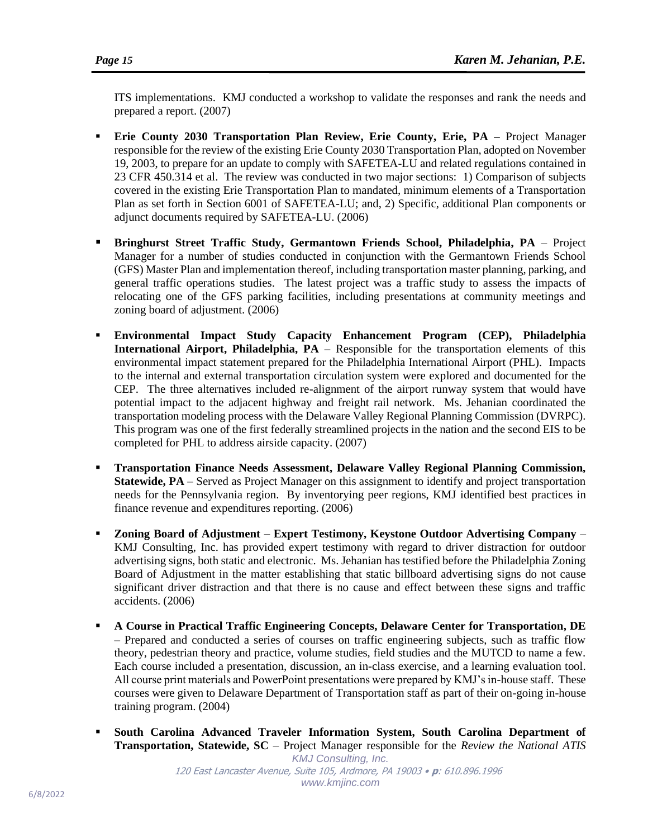ITS implementations. KMJ conducted a workshop to validate the responses and rank the needs and prepared a report. (2007)

- **Erie County 2030 Transportation Plan Review, Erie County, Erie, PA –** Project Manager responsible for the review of the existing Erie County 2030 Transportation Plan, adopted on November 19, 2003, to prepare for an update to comply with SAFETEA-LU and related regulations contained in 23 CFR 450.314 et al. The review was conducted in two major sections: 1) Comparison of subjects covered in the existing Erie Transportation Plan to mandated, minimum elements of a Transportation Plan as set forth in Section 6001 of SAFETEA-LU; and, 2) Specific, additional Plan components or adjunct documents required by SAFETEA-LU. (2006)
- **Bringhurst Street Traffic Study, Germantown Friends School, Philadelphia, PA** Project Manager for a number of studies conducted in conjunction with the Germantown Friends School (GFS) Master Plan and implementation thereof, including transportation master planning, parking, and general traffic operations studies. The latest project was a traffic study to assess the impacts of relocating one of the GFS parking facilities, including presentations at community meetings and zoning board of adjustment. (2006)
- **Environmental Impact Study Capacity Enhancement Program (CEP), Philadelphia International Airport, Philadelphia, PA** – Responsible for the transportation elements of this environmental impact statement prepared for the Philadelphia International Airport (PHL). Impacts to the internal and external transportation circulation system were explored and documented for the CEP. The three alternatives included re-alignment of the airport runway system that would have potential impact to the adjacent highway and freight rail network. Ms. Jehanian coordinated the transportation modeling process with the Delaware Valley Regional Planning Commission (DVRPC). This program was one of the first federally streamlined projects in the nation and the second EIS to be completed for PHL to address airside capacity. (2007)
- **Transportation Finance Needs Assessment, Delaware Valley Regional Planning Commission, Statewide, PA** – Served as Project Manager on this assignment to identify and project transportation needs for the Pennsylvania region. By inventorying peer regions, KMJ identified best practices in finance revenue and expenditures reporting. (2006)
- **Zoning Board of Adjustment – Expert Testimony, Keystone Outdoor Advertising Company**  KMJ Consulting, Inc. has provided expert testimony with regard to driver distraction for outdoor advertising signs, both static and electronic. Ms. Jehanian has testified before the Philadelphia Zoning Board of Adjustment in the matter establishing that static billboard advertising signs do not cause significant driver distraction and that there is no cause and effect between these signs and traffic accidents. (2006)
- **A Course in Practical Traffic Engineering Concepts, Delaware Center for Transportation, DE**  – Prepared and conducted a series of courses on traffic engineering subjects, such as traffic flow theory, pedestrian theory and practice, volume studies, field studies and the MUTCD to name a few. Each course included a presentation, discussion, an in-class exercise, and a learning evaluation tool. All course print materials and PowerPoint presentations were prepared by KMJ's in-house staff. These courses were given to Delaware Department of Transportation staff as part of their on-going in-house training program. (2004)
- *KMJ Consulting, Inc.* South Carolina Advanced Traveler Information System, South Carolina Department of **Transportation, Statewide, SC** *–* Project Manager responsible for the *Review the National ATIS*

120 East Lancaster Avenue, Suite 105, Ardmore, PA 19003 • **p**: 610.896.1996 *www.kmjinc.com*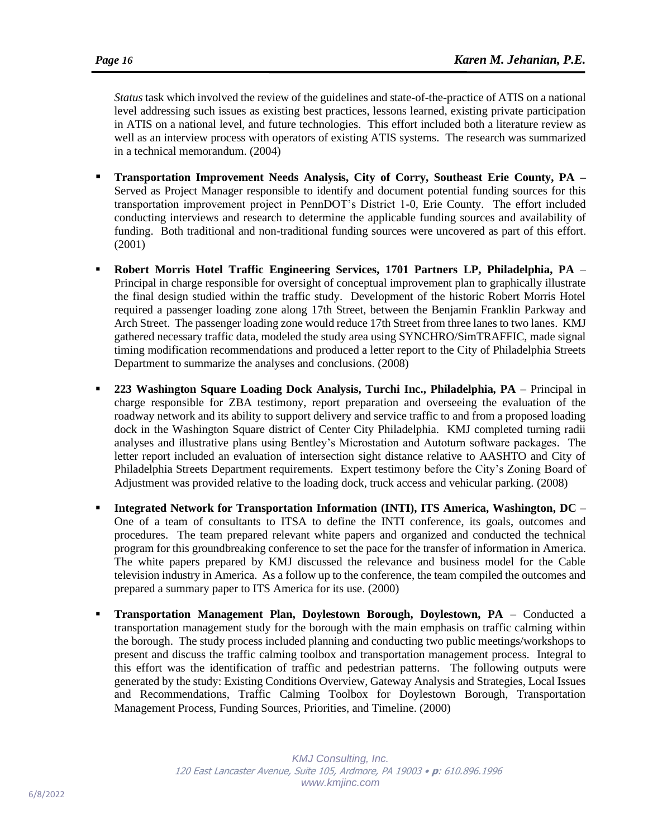*Status* task which involved the review of the guidelines and state-of-the-practice of ATIS on a national level addressing such issues as existing best practices, lessons learned, existing private participation in ATIS on a national level, and future technologies. This effort included both a literature review as well as an interview process with operators of existing ATIS systems. The research was summarized in a technical memorandum. (2004)

- **Transportation Improvement Needs Analysis, City of Corry, Southeast Erie County, PA –** Served as Project Manager responsible to identify and document potential funding sources for this transportation improvement project in PennDOT's District 1-0, Erie County. The effort included conducting interviews and research to determine the applicable funding sources and availability of funding. Both traditional and non-traditional funding sources were uncovered as part of this effort. (2001)
- **Robert Morris Hotel Traffic Engineering Services, 1701 Partners LP, Philadelphia, PA** Principal in charge responsible for oversight of conceptual improvement plan to graphically illustrate the final design studied within the traffic study. Development of the historic Robert Morris Hotel required a passenger loading zone along 17th Street, between the Benjamin Franklin Parkway and Arch Street. The passenger loading zone would reduce 17th Street from three lanes to two lanes. KMJ gathered necessary traffic data, modeled the study area using SYNCHRO/SimTRAFFIC, made signal timing modification recommendations and produced a letter report to the City of Philadelphia Streets Department to summarize the analyses and conclusions. (2008)
- **223 Washington Square Loading Dock Analysis, Turchi Inc., Philadelphia, PA**  Principal in charge responsible for ZBA testimony, report preparation and overseeing the evaluation of the roadway network and its ability to support delivery and service traffic to and from a proposed loading dock in the Washington Square district of Center City Philadelphia. KMJ completed turning radii analyses and illustrative plans using Bentley's Microstation and Autoturn software packages. The letter report included an evaluation of intersection sight distance relative to AASHTO and City of Philadelphia Streets Department requirements. Expert testimony before the City's Zoning Board of Adjustment was provided relative to the loading dock, truck access and vehicular parking. (2008)
- **Integrated Network for Transportation Information (INTI), ITS America, Washington, DC** One of a team of consultants to ITSA to define the INTI conference, its goals, outcomes and procedures. The team prepared relevant white papers and organized and conducted the technical program for this groundbreaking conference to set the pace for the transfer of information in America. The white papers prepared by KMJ discussed the relevance and business model for the Cable television industry in America. As a follow up to the conference, the team compiled the outcomes and prepared a summary paper to ITS America for its use. (2000)
- **Transportation Management Plan, Doylestown Borough, Doylestown, PA** Conducted a transportation management study for the borough with the main emphasis on traffic calming within the borough. The study process included planning and conducting two public meetings/workshops to present and discuss the traffic calming toolbox and transportation management process. Integral to this effort was the identification of traffic and pedestrian patterns. The following outputs were generated by the study: Existing Conditions Overview, Gateway Analysis and Strategies, Local Issues and Recommendations, Traffic Calming Toolbox for Doylestown Borough, Transportation Management Process, Funding Sources, Priorities, and Timeline. (2000)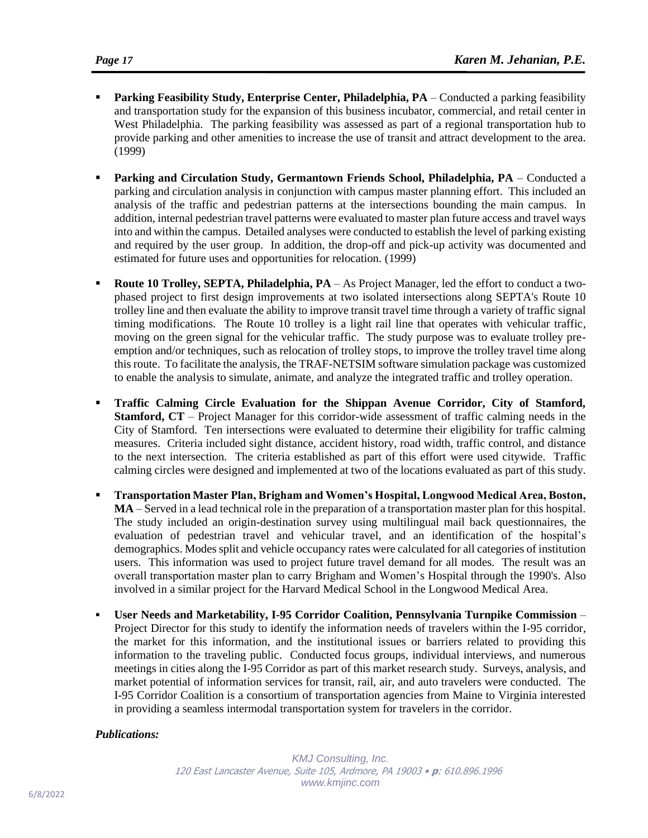- Parking Feasibility Study, Enterprise Center, Philadelphia, PA Conducted a parking feasibility and transportation study for the expansion of this business incubator, commercial, and retail center in West Philadelphia. The parking feasibility was assessed as part of a regional transportation hub to provide parking and other amenities to increase the use of transit and attract development to the area. (1999)
- **Parking and Circulation Study, Germantown Friends School, Philadelphia, PA** Conducted a parking and circulation analysis in conjunction with campus master planning effort. This included an analysis of the traffic and pedestrian patterns at the intersections bounding the main campus. In addition, internal pedestrian travel patterns were evaluated to master plan future access and travel ways into and within the campus. Detailed analyses were conducted to establish the level of parking existing and required by the user group. In addition, the drop-off and pick-up activity was documented and estimated for future uses and opportunities for relocation. (1999)
- **Route 10 Trolley, SEPTA, Philadelphia, PA** As Project Manager, led the effort to conduct a twophased project to first design improvements at two isolated intersections along SEPTA's Route 10 trolley line and then evaluate the ability to improve transit travel time through a variety of traffic signal timing modifications. The Route 10 trolley is a light rail line that operates with vehicular traffic, moving on the green signal for the vehicular traffic. The study purpose was to evaluate trolley preemption and/or techniques, such as relocation of trolley stops, to improve the trolley travel time along this route. To facilitate the analysis, the TRAF-NETSIM software simulation package was customized to enable the analysis to simulate, animate, and analyze the integrated traffic and trolley operation.
- **Traffic Calming Circle Evaluation for the Shippan Avenue Corridor, City of Stamford, Stamford, CT** – Project Manager for this corridor-wide assessment of traffic calming needs in the City of Stamford. Ten intersections were evaluated to determine their eligibility for traffic calming measures. Criteria included sight distance, accident history, road width, traffic control, and distance to the next intersection. The criteria established as part of this effort were used citywide. Traffic calming circles were designed and implemented at two of the locations evaluated as part of this study.
- **Transportation Master Plan, Brigham and Women's Hospital, Longwood Medical Area, Boston, MA** – Served in a lead technical role in the preparation of a transportation master plan for this hospital. The study included an origin-destination survey using multilingual mail back questionnaires, the evaluation of pedestrian travel and vehicular travel, and an identification of the hospital's demographics. Modes split and vehicle occupancy rates were calculated for all categories of institution users. This information was used to project future travel demand for all modes. The result was an overall transportation master plan to carry Brigham and Women's Hospital through the 1990's. Also involved in a similar project for the Harvard Medical School in the Longwood Medical Area.
- **User Needs and Marketability, I-95 Corridor Coalition, Pennsylvania Turnpike Commission**  Project Director for this study to identify the information needs of travelers within the I-95 corridor, the market for this information, and the institutional issues or barriers related to providing this information to the traveling public. Conducted focus groups, individual interviews, and numerous meetings in cities along the I-95 Corridor as part of this market research study. Surveys, analysis, and market potential of information services for transit, rail, air, and auto travelers were conducted. The I-95 Corridor Coalition is a consortium of transportation agencies from Maine to Virginia interested in providing a seamless intermodal transportation system for travelers in the corridor.

## *Publications:*